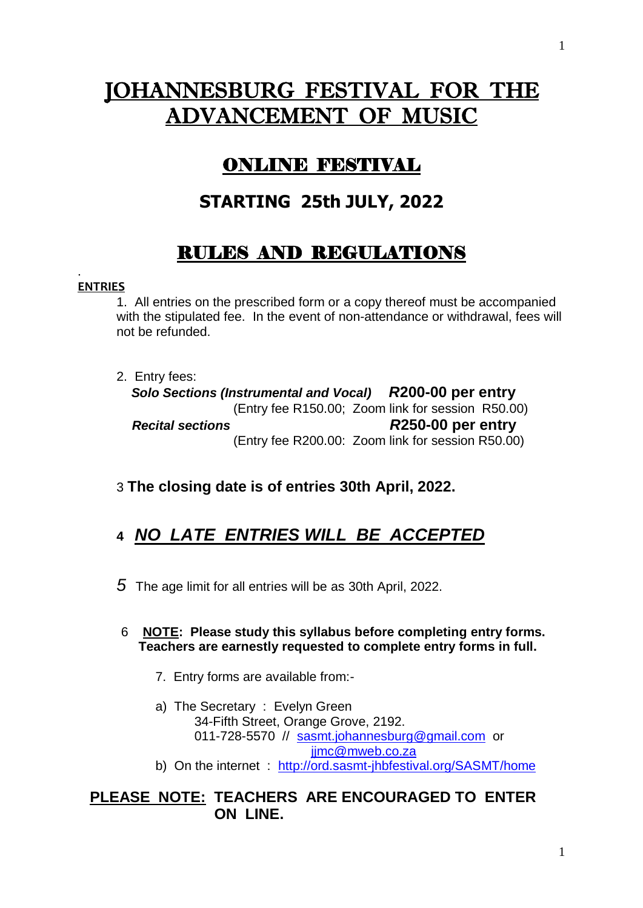# JOHANNESBURG FESTIVAL FOR THE ADVANCEMENT OF MUSIC

# ONLINE FESTIVAL

# **STARTING 25th JULY, 2022**

# RULES AND REGULATIONS

#### . **ENTRIES**

1. All entries on the prescribed form or a copy thereof must be accompanied with the stipulated fee. In the event of non-attendance or withdrawal, fees will not be refunded.

2. Entry fees:

 *Solo Sections (Instrumental and Vocal) R***200-00 per entry** (Entry fee R150.00; Zoom link for session R50.00)  *Recital sections R***250-00 per entry** (Entry fee R200.00: Zoom link for session R50.00)

3 **The closing date is of entries 30th April, 2022.**

# **4** *NO LATE ENTRIES WILL BE ACCEPTED*

*5* The age limit for all entries will be as 30th April, 2022.

 6 **NOTE: Please study this syllabus before completing entry forms. Teachers are earnestly requested to complete entry forms in full.**

- 7. Entry forms are available from:-
- a) The Secretary : Evelyn Green 34-Fifth Street, Orange Grove, 2192. 011-728-5570 // [sasmt.johannesburg@gmail.com](mailto:sasmt.johannesburg@gmail.com) or [jjmc@mweb.co.za](mailto:jjmc@mweb.co.za)
- b) On the internet : <http://ord.sasmt-jhbfestival.org/SASMT/home>

**PLEASE NOTE: TEACHERS ARE ENCOURAGED TO ENTER ON LINE.**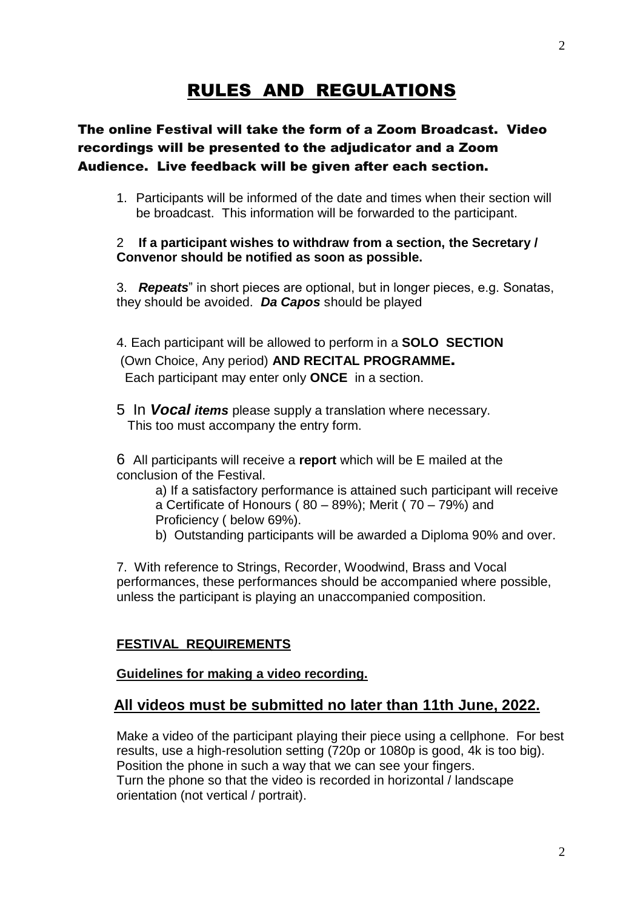## RULES AND REGULATIONS

### The online Festival will take the form of a Zoom Broadcast. Video recordings will be presented to the adjudicator and a Zoom Audience. Live feedback will be given after each section.

1. Participants will be informed of the date and times when their section will be broadcast. This information will be forwarded to the participant.

#### 2 **If a participant wishes to withdraw from a section, the Secretary / Convenor should be notified as soon as possible.**

3. *Repeats*" in short pieces are optional, but in longer pieces, e.g. Sonatas, they should be avoided. *Da Capos* should be played

4. Each participant will be allowed to perform in a **SOLO SECTION** (Own Choice, Any period) **AND RECITAL PROGRAMME**. Each participant may enter only **ONCE** in a section.

5 In *Vocal items* please supply a translation where necessary. This too must accompany the entry form.

6 All participants will receive a **report** which will be E mailed at the conclusion of the Festival.

a) If a satisfactory performance is attained such participant will receive a Certificate of Honours ( $80 - 89$ %); Merit ( $70 - 79$ %) and Proficiency ( below 69%).

b) Outstanding participants will be awarded a Diploma 90% and over.

7. With reference to Strings, Recorder, Woodwind, Brass and Vocal performances, these performances should be accompanied where possible, unless the participant is playing an unaccompanied composition.

#### **FESTIVAL REQUIREMENTS**

#### **Guidelines for making a video recording.**

#### **All videos must be submitted no later than 11th June, 2022.**

Make a video of the participant playing their piece using a cellphone. For best results, use a high-resolution setting (720p or 1080p is good, 4k is too big). Position the phone in such a way that we can see your fingers. Turn the phone so that the video is recorded in horizontal / landscape orientation (not vertical / portrait).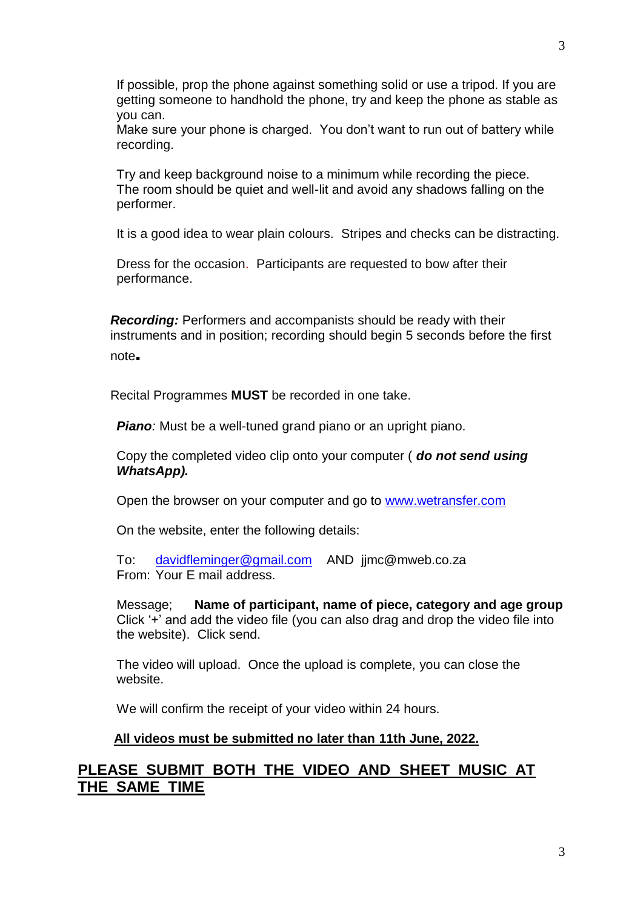If possible, prop the phone against something solid or use a tripod. If you are getting someone to handhold the phone, try and keep the phone as stable as you can.

Make sure your phone is charged. You don't want to run out of battery while recording.

Try and keep background noise to a minimum while recording the piece. The room should be quiet and well-lit and avoid any shadows falling on the performer.

It is a good idea to wear plain colours. Stripes and checks can be distracting.

Dress for the occasion. Participants are requested to bow after their performance.

 *Recording:* Performers and accompanists should be ready with their instruments and in position; recording should begin 5 seconds before the first note.

Recital Programmes **MUST** be recorded in one take.

*Piano:* Must be a well-tuned grand piano or an upright piano.

Copy the completed video clip onto your computer ( *do not send using WhatsApp).*

Open the browser on your computer and go to [www.wetransfer.com](http://www.wetransfer.com/)

On the website, enter the following details:

To: [davidfleminger@gmail.com](mailto:davidfleminger@gmail.com) AND jjmc@mweb.co.za From: Your E mail address.

Message; **Name of participant, name of piece, category and age group** Click '+' and add the video file (you can also drag and drop the video file into the website). Click send.

The video will upload. Once the upload is complete, you can close the website.

We will confirm the receipt of your video within 24 hours.

#### **All videos must be submitted no later than 11th June, 2022.**

### **PLEASE SUBMIT BOTH THE VIDEO AND SHEET MUSIC AT THE SAME TIME**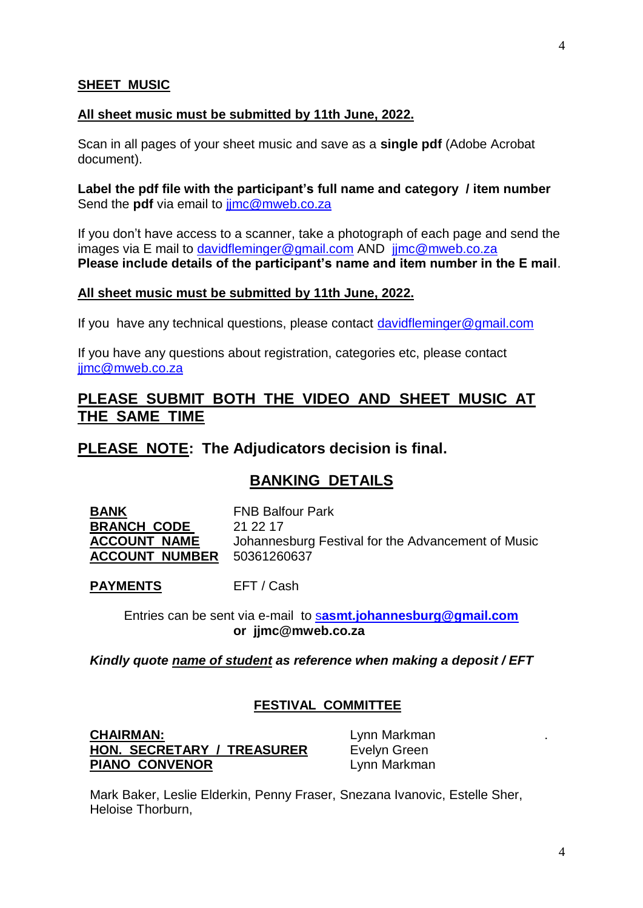#### **SHEET MUSIC**

#### **All sheet music must be submitted by 11th June, 2022.**

Scan in all pages of your sheet music and save as a **single pdf** (Adobe Acrobat document).

**Label the pdf file with the participant's full name and category / item number** Send the **pdf** via email to jimc@mweb.co.za

If you don't have access to a scanner, take a photograph of each page and send the images via E mail to [davidfleminger@gmail.com](mailto:davidfleminger@gmail.com) AND jimc@mweb.co.za **Please include details of the participant's name and item number in the E mail**.

#### **All sheet music must be submitted by 11th June, 2022.**

If you have any technical questions, please contact [davidfleminger@gmail.com](mailto:davidfleminger@gmail.com)

If you have any questions about registration, categories etc, please contact [jjmc@mweb.co.za](mailto:jjmc@mweb.co.za)

### **PLEASE SUBMIT BOTH THE VIDEO AND SHEET MUSIC AT THE SAME TIME**

#### **PLEASE NOTE: The Adjudicators decision is final.**

### **BANKING DETAILS**

**BANK** FNB Balfour Park **BRANCH CODE** 21 22 17 **ACCOUNT NAME** Johannesburg Festival for the Advancement of Music **ACCOUNT NUMBER** 50361260637

PAYMENTS EFT / Cash

 Entries can be sent via e-mail to s**[asmt.johannesburg@gmail.com](mailto:sasmt.johannesburg@gmail.com)  or jjmc@mweb.co.za**

*Kindly quote name of student as reference when making a deposit / EFT*

#### **FESTIVAL COMMITTEE**

**CHAIRMAN:** Lynn Markman **HON. SECRETARY / TREASURER** Evelyn Green **PIANO CONVENOR** Lynn Markman

Mark Baker, Leslie Elderkin, Penny Fraser, Snezana Ivanovic, Estelle Sher, Heloise Thorburn,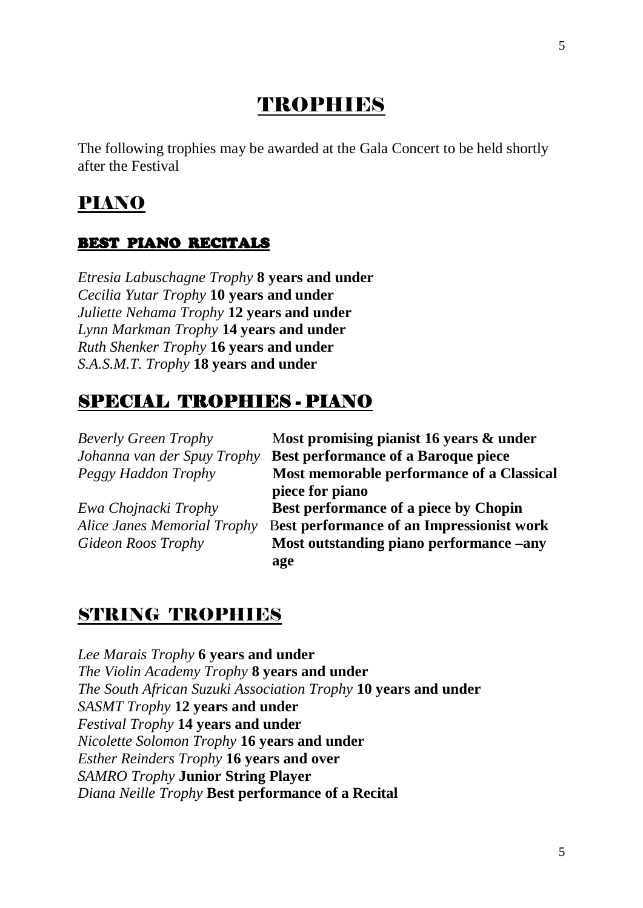# **TROPHIES**

The following trophies may be awarded at the Gala Concert to be held shortly after the Festival

## PIANO

### BEST PIANO RECITALS

*Etresia Labuschagne Trophy* **8 years and under**  *Cecilia Yutar Trophy* **10 years and under**  *Juliette Nehama Trophy* **12 years and under**  *Lynn Markman Trophy* **14 years and under**  *Ruth Shenker Trophy* **16 years and under**  *S.A.S.M.T. Trophy* **18 years and under** 

## SPECIAL TROPHIES - PIANO

*Beverly Green Trophy* M**ost promising pianist 16 years & under** *Johanna van der Spuy Trophy* **Best performance of a Baroque piece** *Peggy Haddon Trophy* **Most memorable performance of a Classical piece for piano** *Ewa Chojnacki Trophy* **Best performance of a piece by Chopin** *Alice Janes Memorial Trophy* B**est performance of an Impressionist work** *Gideon Roos Trophy* **Most outstanding piano performance –any age**

## STRING TROPHIES

*Lee Marais Trophy* **6 years and under**  *The Violin Academy Trophy* **8 years and under**  *The South African Suzuki Association Trophy* **10 years and under**  *SASMT Trophy* **12 years and under**  *Festival Trophy* **14 years and under**  *Nicolette Solomon Trophy* **16 years and under**  *Esther Reinders Trophy* **16 years and over**  *SAMRO Trophy* **Junior String Player**  *Diana Neille Trophy* **Best performance of a Recital**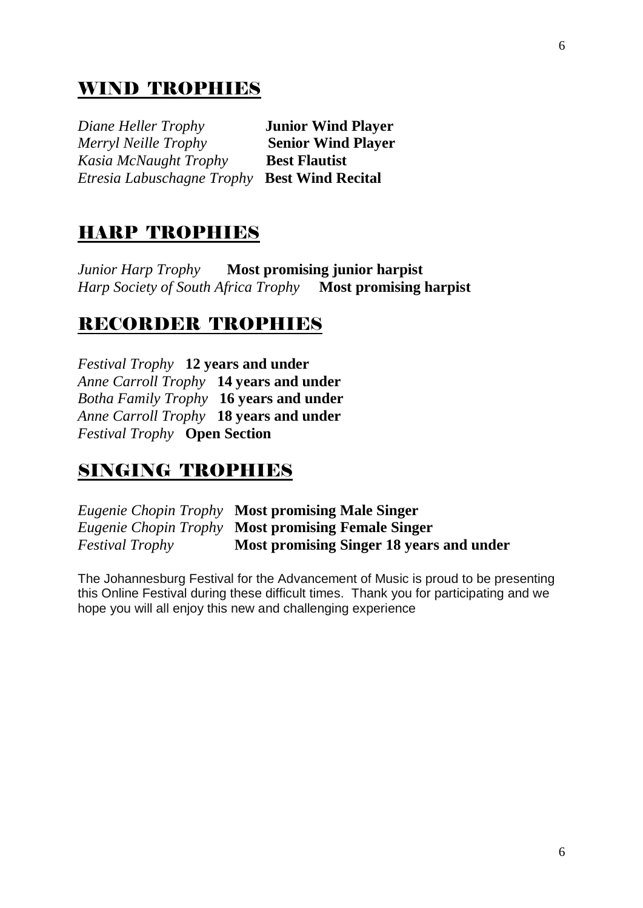## WIND TROPHIES

*Diane Heller Trophy* **Junior Wind Player**  *Merryl Neille Trophy* **Senior Wind Player** *Kasia McNaught Trophy* **Best Flautist**  *Etresia Labuschagne Trophy* **Best Wind Recital** 

## HARP TROPHIES

*Junior Harp Trophy* **Most promising junior harpist**  *Harp Society of South Africa Trophy* **Most promising harpist** 

## RECORDER TROPHIES

*Festival Trophy* **12 years and under**  *Anne Carroll Trophy* **14 years and under**  *Botha Family Trophy* **16 years and under**  *Anne Carroll Trophy* **18 years and under**  *Festival Trophy* **Open Section** 

## SINGING TROPHIES

*Eugenie Chopin Trophy* **Most promising Male Singer**  *Eugenie Chopin Trophy* **Most promising Female Singer**  *Festival Trophy* **Most promising Singer 18 years and under** 

The Johannesburg Festival for the Advancement of Music is proud to be presenting this Online Festival during these difficult times. Thank you for participating and we hope you will all enjoy this new and challenging experience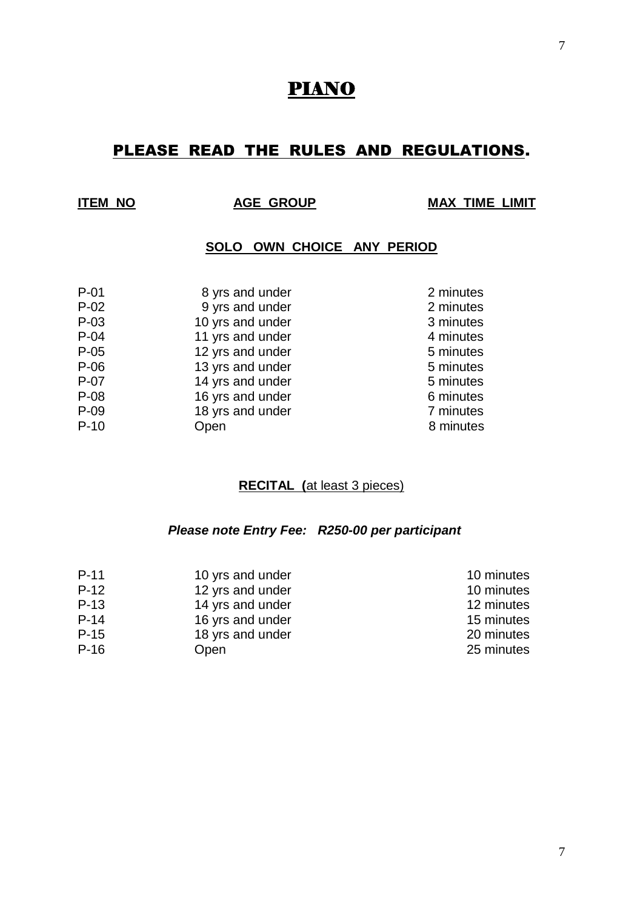## PIANO

## PLEASE READ THE RULES AND REGULATIONS.

**INVESTIGATE AGE GROUP 4 MAX TIME LIMIT** 

#### **SOLO OWN CHOICE ANY PERIOD**

| $P-01$ | 8 yrs and under  | 2 minutes |
|--------|------------------|-----------|
| $P-02$ | 9 yrs and under  | 2 minutes |
| $P-03$ | 10 yrs and under | 3 minutes |
| $P-04$ | 11 yrs and under | 4 minutes |
| $P-05$ | 12 yrs and under | 5 minutes |
| $P-06$ | 13 yrs and under | 5 minutes |
| $P-07$ | 14 yrs and under | 5 minutes |
| $P-08$ | 16 yrs and under | 6 minutes |
| $P-09$ | 18 yrs and under | 7 minutes |
| $P-10$ | Open             | 8 minutes |
|        |                  |           |

#### **RECITAL (**at least 3 pieces)

#### *Please note Entry Fee: R250-00 per participant*

| $P-11$ | 10 yrs and under | 10 minutes |
|--------|------------------|------------|
| $P-12$ | 12 yrs and under | 10 minutes |
| $P-13$ | 14 yrs and under | 12 minutes |
| $P-14$ | 16 yrs and under | 15 minutes |
| $P-15$ | 18 yrs and under | 20 minutes |
| $P-16$ | Open             | 25 minutes |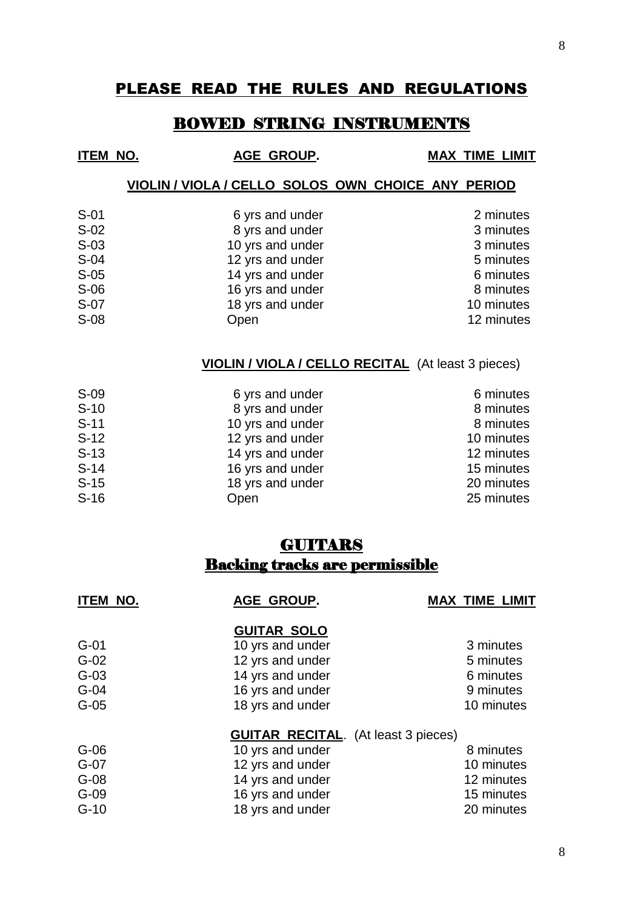### PLEASE READ THE RULES AND REGULATIONS

### BOWED STRING INSTRUMENTS

| <b>ITEM NO.</b> | AGE GROUP.                                         | <b>MAX TIME LIMIT</b> |
|-----------------|----------------------------------------------------|-----------------------|
|                 | VIOLIN / VIOLA / CELLO SOLOS OWN CHOICE ANY PERIOD |                       |
| $S-01$          | 6 yrs and under                                    | 2 minutes             |
| $S-02$          | 8 yrs and under                                    | 3 minutes             |
| $S-03$          | 10 yrs and under                                   | 3 minutes             |
| $S-04$          | 12 yrs and under                                   | 5 minutes             |
| $S-05$          | 14 yrs and under                                   | 6 minutes             |

| $S-06$ | 16 yrs and under | 8 minutes  |
|--------|------------------|------------|
| S-07   | 18 yrs and under | 10 minutes |
| $S-08$ | Open             | 12 minutes |

#### **VIOLIN / VIOLA / CELLO RECITAL** (At least 3 pieces)

| S-09   | 6 yrs and under  | 6 minutes  |
|--------|------------------|------------|
| $S-10$ | 8 yrs and under  | 8 minutes  |
| $S-11$ | 10 yrs and under | 8 minutes  |
| $S-12$ | 12 yrs and under | 10 minutes |
| $S-13$ | 14 yrs and under | 12 minutes |
| $S-14$ | 16 yrs and under | 15 minutes |
| $S-15$ | 18 yrs and under | 20 minutes |
| $S-16$ | Open             | 25 minutes |
|        |                  |            |

## **GUITARS** Backing tracks are permissible

| <b>ITEM NO.</b> | AGE GROUP.                                 | <b>MAX TIME LIMIT</b> |
|-----------------|--------------------------------------------|-----------------------|
|                 | <b>GUITAR SOLO</b>                         |                       |
| $G-01$          | 10 yrs and under                           | 3 minutes             |
| $G-02$          | 12 yrs and under                           | 5 minutes             |
| $G-03$          | 14 yrs and under                           | 6 minutes             |
| $G-04$          | 16 yrs and under                           | 9 minutes             |
| $G-05$          | 18 yrs and under                           | 10 minutes            |
|                 | <b>GUITAR RECITAL.</b> (At least 3 pieces) |                       |
| $G-06$          | 10 yrs and under                           | 8 minutes             |
| $G-07$          | 12 yrs and under                           | 10 minutes            |
| $G-08$          | 14 yrs and under                           | 12 minutes            |
| $G-09$          | 16 yrs and under                           | 15 minutes            |
| $G-10$          | 18 yrs and under                           | 20 minutes            |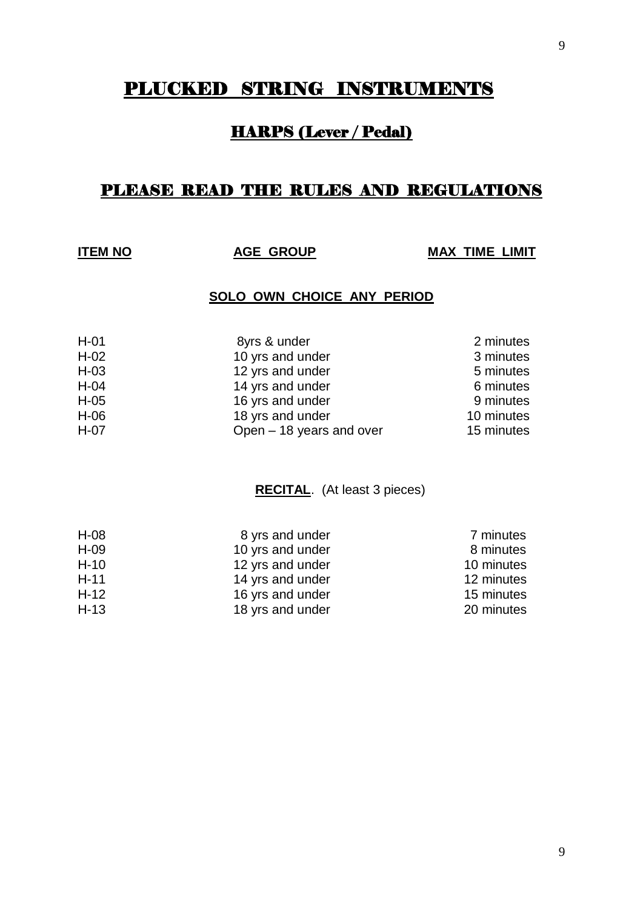## PLUCKED STRING INSTRUMENTS

## HARPS (Lever / Pedal)

## PLEASE READ THE RULES AND REGULATIONS

**ITEM NO AGE GROUP MAX TIME LIMIT**

#### **SOLO OWN CHOICE ANY PERIOD**

| $H-01$ | 8yrs & under             | 2 minutes  |
|--------|--------------------------|------------|
| $H-02$ | 10 yrs and under         | 3 minutes  |
| $H-03$ | 12 yrs and under         | 5 minutes  |
| $H-04$ | 14 yrs and under         | 6 minutes  |
| $H-05$ | 16 yrs and under         | 9 minutes  |
| $H-06$ | 18 yrs and under         | 10 minutes |
| $H-07$ | Open - 18 years and over | 15 minutes |

#### **RECITAL**. (At least 3 pieces)

| $H-08$ | 8 yrs and under  | 7 minutes  |
|--------|------------------|------------|
| $H-09$ | 10 yrs and under | 8 minutes  |
| $H-10$ | 12 yrs and under | 10 minutes |
| $H-11$ | 14 yrs and under | 12 minutes |
| $H-12$ | 16 yrs and under | 15 minutes |
| $H-13$ | 18 yrs and under | 20 minutes |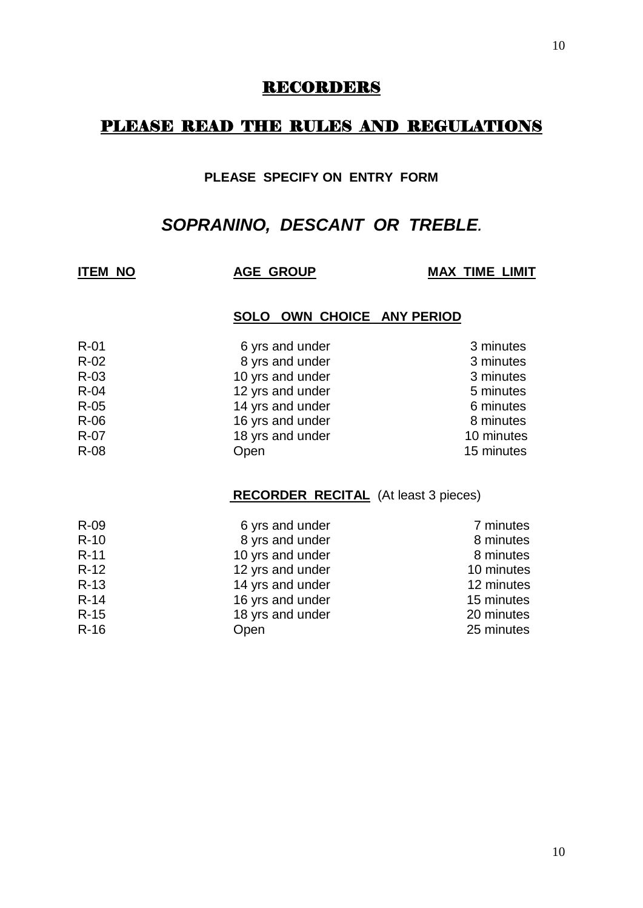#### RECORDERS

### PLEASE READ THE RULES AND REGULATIONS

#### **PLEASE SPECIFY ON ENTRY FORM**

## *SOPRANINO, DESCANT OR TREBLE.*

**ITEM NO AGE GROUP MAX TIME LIMIT**

#### **SOLO OWN CHOICE ANY PERIOD**

| $R-01$ | 6 yrs and under  | 3 minutes  |
|--------|------------------|------------|
| $R-02$ | 8 yrs and under  | 3 minutes  |
| R-03   | 10 yrs and under | 3 minutes  |
| $R-04$ | 12 yrs and under | 5 minutes  |
| $R-05$ | 14 yrs and under | 6 minutes  |
| R-06   | 16 yrs and under | 8 minutes  |
| $R-07$ | 18 yrs and under | 10 minutes |
| R-08   | Open             | 15 minutes |

#### **RECORDER RECITAL** (At least 3 pieces)

| R-09   | 6 yrs and under  | 7 minutes  |
|--------|------------------|------------|
| $R-10$ | 8 yrs and under  | 8 minutes  |
| $R-11$ | 10 yrs and under | 8 minutes  |
| $R-12$ | 12 yrs and under | 10 minutes |
| $R-13$ | 14 yrs and under | 12 minutes |
| $R-14$ | 16 yrs and under | 15 minutes |
| $R-15$ | 18 yrs and under | 20 minutes |
| $R-16$ | Open             | 25 minutes |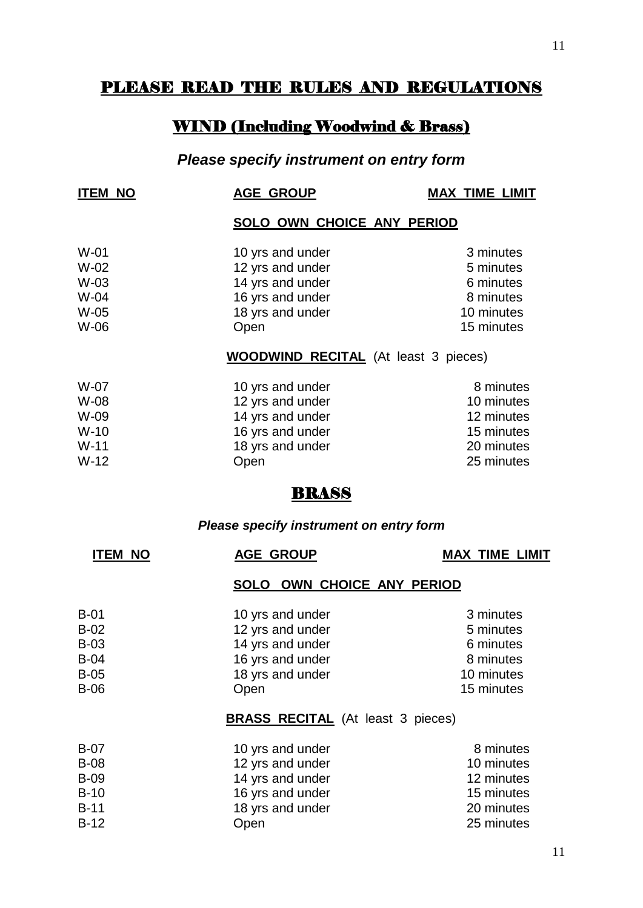## PLEASE READ THE RULES AND REGULATIONS

## WIND (Including Woodwind & Brass)

## *Please specify instrument on entry form*

| <b>ITEM NO</b>             | <b>AGE GROUP</b>                                         | <b>MAX TIME LIMIT</b>               |
|----------------------------|----------------------------------------------------------|-------------------------------------|
|                            | SOLO OWN CHOICE ANY PERIOD                               |                                     |
| $W-01$<br>$W-02$<br>$W-03$ | 10 yrs and under<br>12 yrs and under<br>14 yrs and under | 3 minutes<br>5 minutes<br>6 minutes |
| W-04<br>$W-05$             | 16 yrs and under<br>18 yrs and under                     | 8 minutes<br>10 minutes             |
| W-06                       | Open<br><b>WOODWIND RECITAL</b> (At least 3 pieces)      | 15 minutes                          |
| W-07                       | 10 yrs and under                                         | 8 minutes                           |
| W-08<br>W-09               | 12 yrs and under<br>14 yrs and under                     | 10 minutes<br>12 minutes            |
| $W-10$<br>$W-11$           | 16 yrs and under<br>18 yrs and under                     | 15 minutes<br>20 minutes            |
| $W-12$                     | Open                                                     | 25 minutes                          |
|                            |                                                          |                                     |

### *Please specify instrument on entry form*

| <b>ITEM NO</b>   | <b>AGE GROUP</b>                         | <b>MAX TIME LIMIT</b>  |
|------------------|------------------------------------------|------------------------|
|                  | OWN CHOICE ANY PERIOD<br><b>SOLO</b>     |                        |
| $B-01$<br>$B-02$ | 10 yrs and under<br>12 yrs and under     | 3 minutes<br>5 minutes |
| <b>B-03</b>      | 14 yrs and under                         | 6 minutes              |
| $B-04$           | 16 yrs and under                         | 8 minutes              |
| $B-05$           | 18 yrs and under                         | 10 minutes             |
| $B-06$           | Open                                     | 15 minutes             |
|                  | <b>BRASS RECITAL</b> (At least 3 pieces) |                        |
| $B-07$           | 10 yrs and under                         | 8 minutes              |
| <b>B-08</b>      | 12 yrs and under                         | 10 minutes             |
| <b>B-09</b>      | 14 yrs and under                         | 12 minutes             |
| $B-10$           | 16 yrs and under                         | 15 minutes             |
| $B-11$           | 18 yrs and under                         | 20 minutes             |
| $B-12$           | Open                                     | 25 minutes             |